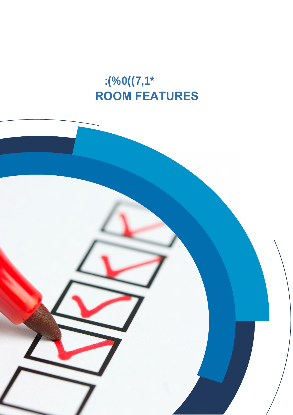## **ROOM FEATURES**

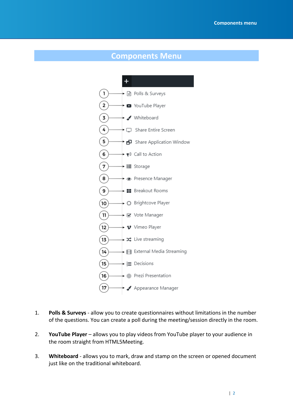Manual

Manual

## **Components Menu**



- 1. **Polls & Surveys** allow you to create questionnaires without limitations in the number of the questions. You can create a poll during the meeting/session directly in the room.
- 2. **YouTube Player** allows you to play videos from YouTube player to your audience in the room straight from HTML5Meeting.
- 3. **Whiteboard** allows you to mark, draw and stamp on the screen or opened document just like on the traditional whiteboard.